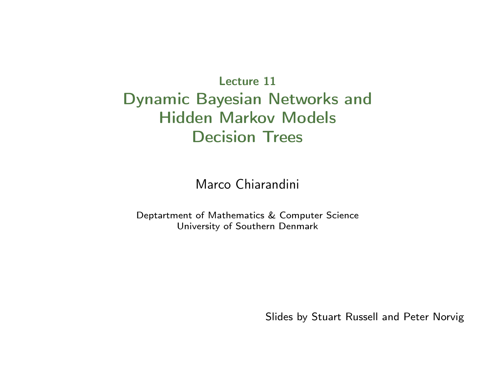Lecture 11 Dynamic Bayesian Networks and Hidden Markov Models Decision Trees

Marco Chiarandini

Deptartment of Mathematics & Computer Science University of Southern Denmark

Slides by Stuart Russell and Peter Norvig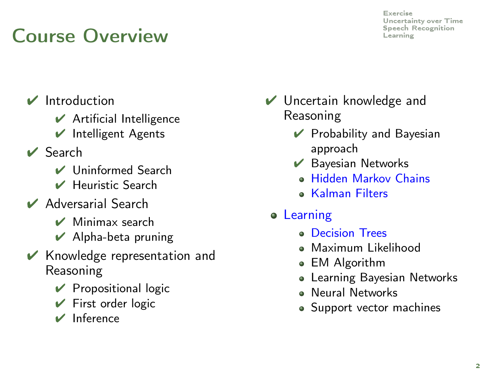# $\bigcap_{\text{Learning}}$  $\bigcap_{\text{Learning}}$  $\bigcap_{\text{Learning}}$   $\bigcap_{\text{Learning}}$

- ✔ Introduction
	- $\vee$  Artificial Intelligence
	- $\vee$  Intelligent Agents
- ✔ Search
	- ✔ Uninformed Search
	- ✔ Heuristic Search
- ✔ Adversarial Search
	- ✔ Minimax search
	- $\vee$  Alpha-beta pruning
- $\vee$  Knowledge representation and Reasoning
	- $\vee$  Propositional logic
	- $\vee$  First order logic
	- ✔ Inference
- ✔ Uncertain knowledge and Reasoning
	- $\vee$  Probability and Bayesian approach
	- $\vee$  Bayesian Networks
		- Hidden Markov Chains
		- Kalman Filters
	- **•** Learning
		- **Decision Trees**
		- Maximum Likelihood
		- EM Algorithm
		- Learning Bayesian Networks
		- Neural Networks
		- Support vector machines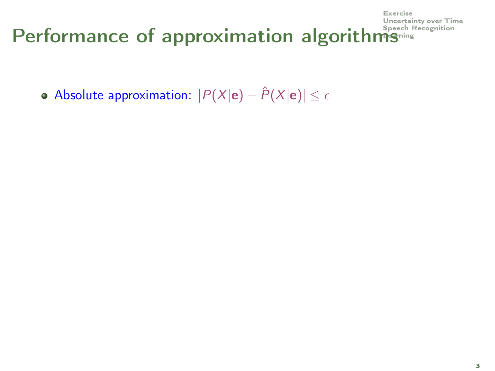#### [Uncertainty over Time](#page-26-0) Performance of approximation algorit[hms](#page-78-0)<sup>speech Recognition</sup>

• Absolute approximation:  $|P(X|e) - \hat{P}(X|e)| \leq \epsilon$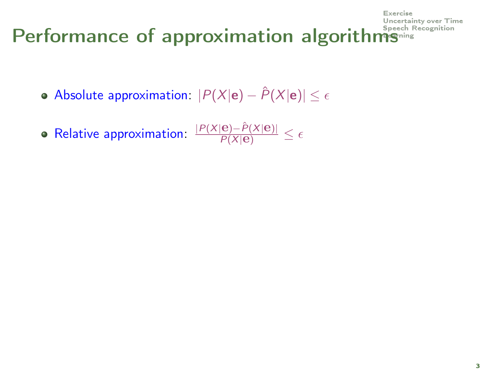#### [Uncertainty over Time](#page-26-0) Performance of approximation algorit[hms](#page-78-0)<sup>speech F</sup>

- Absolute approximation:  $|P(X|\mathbf{e}) \hat{P}(X|\mathbf{e})| < \epsilon$
- Relative approximation:  $\frac{|P(X|\mathbf{e}) \hat{P}(X|\mathbf{e})|}{P(X|\mathbf{e})} \le \epsilon$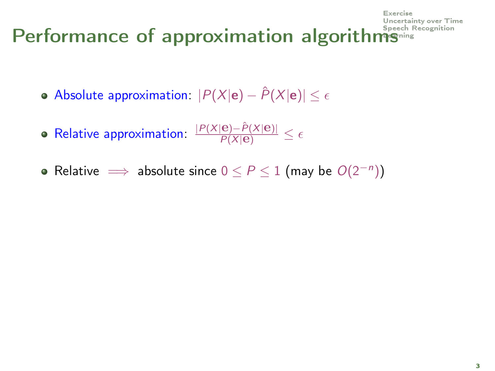#### [Uncertainty over Time](#page-26-0) Performance of approximation algorit[hms](#page-78-0)<sup>speech r</sup>

- Absolute approximation:  $|P(X|\mathbf{e}) \hat{P}(X|\mathbf{e})| < \epsilon$
- Relative approximation:  $\frac{|P(X|\mathbf{e}) \hat{P}(X|\mathbf{e})|}{P(X|\mathbf{e})} \le \epsilon$
- Relative  $\implies$  absolute since  $0 \le P \le 1$  (may be  $O(2^{-n})$ )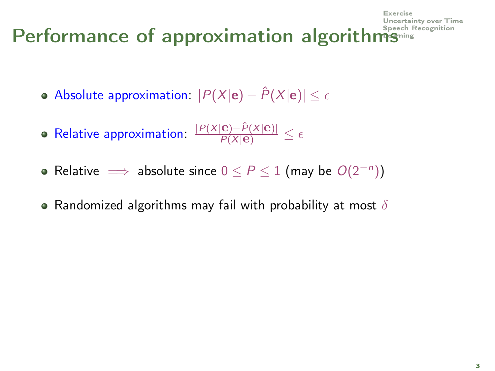#### [Uncertainty over Time](#page-26-0) Performance of approximation algorit[hms](#page-78-0)<sup>speech F</sup>

- Absolute approximation:  $|P(X|\mathbf{e}) \hat{P}(X|\mathbf{e})| < \epsilon$
- Relative approximation:  $\frac{|P(X|\mathbf{e}) \hat{P}(X|\mathbf{e})|}{P(X|\mathbf{e})} \le \epsilon$
- Relative  $\implies$  absolute since  $0 \le P \le 1$  (may be  $O(2^{-n})$ )
- Randomized algorithms may fail with probability at most  $\delta$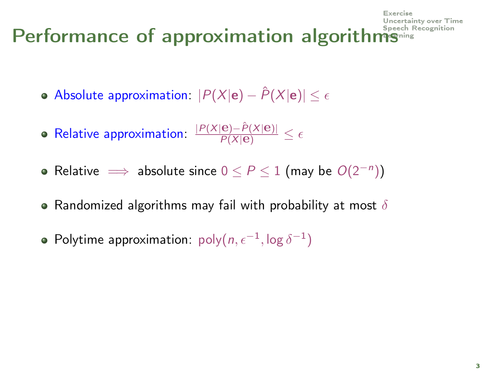#### [Uncertainty over Time](#page-26-0) Performance of approximation algorit[hms](#page-78-0)<sup>speech F</sup>

- Absolute approximation:  $|P(X|\mathbf{e}) \hat{P}(X|\mathbf{e})| < \epsilon$
- Relative approximation:  $\frac{|P(X|\mathbf{e}) \hat{P}(X|\mathbf{e})|}{P(X|\mathbf{e})} \le \epsilon$
- Relative  $\implies$  absolute since  $0 \le P \le 1$  (may be  $O(2^{-n})$ )
- Randomized algorithms may fail with probability at most  $\delta$
- Polytime approximation:  $\mathsf{poly}(n, \epsilon^{-1}, \log \delta^{-1})$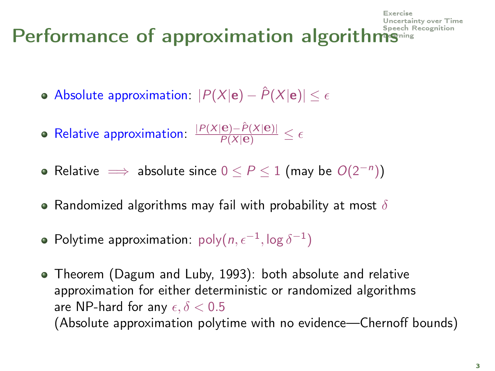#### [Uncertainty over Time](#page-26-0) Performance of approximation algorit[hms](#page-78-0)<sup>speech 1</sup>

- Absolute approximation:  $|P(X|\mathbf{e}) \hat{P}(X|\mathbf{e})| < \epsilon$
- Relative approximation:  $\frac{|P(X|\mathbf{e}) \hat{P}(X|\mathbf{e})|}{P(X|\mathbf{e})} \le \epsilon$
- Relative  $\implies$  absolute since  $0 \le P \le 1$  (may be  $O(2^{-n})$ )
- Randomized algorithms may fail with probability at most  $\delta$
- Polytime approximation:  $\mathsf{poly}(n, \epsilon^{-1}, \log \delta^{-1})$
- Theorem (Dagum and Luby, 1993): both absolute and relative approximation for either deterministic or randomized algorithms are NP-hard for any  $\epsilon, \delta < 0.5$ (Absolute approximation polytime with no evidence—Chernoff bounds)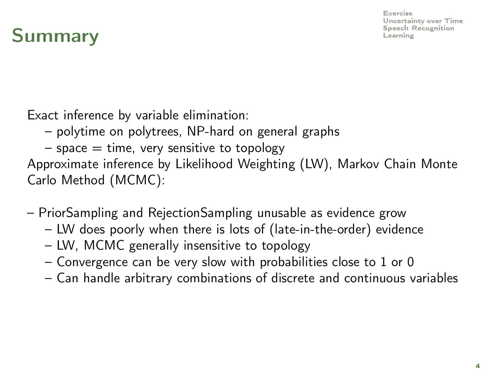[Exercise](#page-9-0) [Uncertainty over Time](#page-26-0)

### Summary **Example 8 Summary** [Learning](#page-78-0)

Exact inference by variable elimination:

- polytime on polytrees, NP-hard on general graphs
- $-$  space  $=$  time, very sensitive to topology

Approximate inference by Likelihood Weighting (LW), Markov Chain Monte Carlo Method (MCMC):

- PriorSampling and RejectionSampling unusable as evidence grow
	- LW does poorly when there is lots of (late-in-the-order) evidence
	- LW, MCMC generally insensitive to topology
	- Convergence can be very slow with probabilities close to 1 or 0
	- Can handle arbitrary combinations of discrete and continuous variables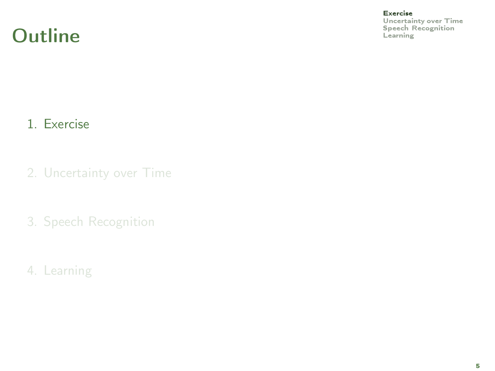#### **Outline** [Speech Recognition](#page-66-0) Contract Recognition Contract Recognition Contract Recognition Contract Recognition

[Exercise](#page-9-0)

<span id="page-9-0"></span>[Uncertainty over Time](#page-26-0)

#### 1. [Exercise](#page-9-0)

- 2. [Uncertainty over Time](#page-26-0)
- 3. [Speech Recognition](#page-66-0)
- 4. [Learning](#page-78-0)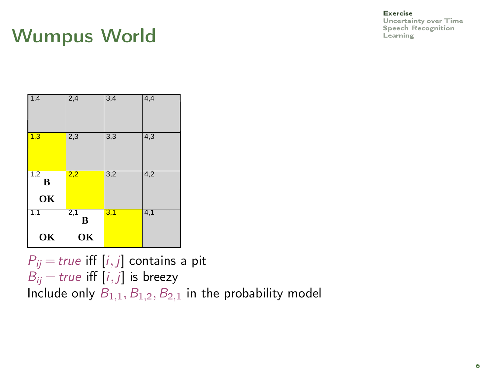### Wumpus World **Examples**

| 1,4            | 2,4            | 3,4 | 4,4 |
|----------------|----------------|-----|-----|
| 1,3            | 2,3            | 3,3 | 4,3 |
| 1,2<br>B<br>OK | 2,2            | 3,2 | 4,2 |
| 1,1<br>OK      | 2,1<br>B<br>OK | 3,1 | 4,1 |

 $P_{ii}$  = true iff [i, j] contains a pit  $B_{ii}$  = true iff  $[i, j]$  is breezy Include only  $B_{1,1}, B_{1,2}, B_{2,1}$  in the probability model

#### [Exercise](#page-9-0)

[Uncertainty over Time](#page-26-0)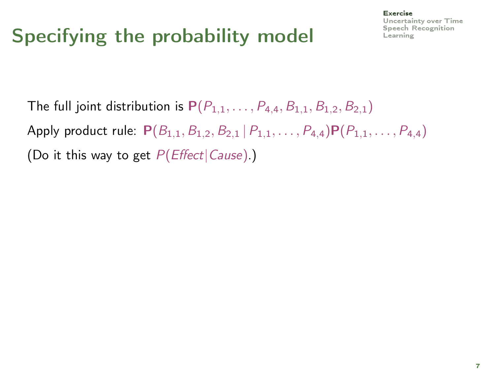# Specifying the probability model  $\overline{\phantom{a}}$

#### [Exercise](#page-9-0) [Uncertainty over Time](#page-26-0)

The full joint distribution is  $P(P_{1,1},...,P_{4,4},B_{1,1},B_{1,2},B_{2,1})$ Apply product rule:  $P(B_{1,1}, B_{1,2}, B_{2,1} | P_{1,1}, \ldots, P_{4,4}) P(P_{1,1}, \ldots, P_{4,4})$ (Do it this way to get  $P(Effect|Cause)$ .)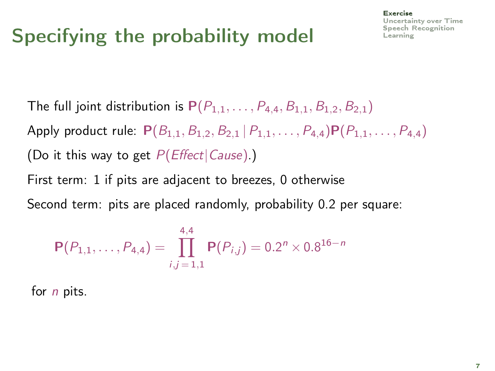# Specifying the probability model  $\overline{\phantom{a}}$

#### [Exercise](#page-9-0) [Uncertainty over Time](#page-26-0)

The full joint distribution is  $P(P_{1,1}, \ldots, P_{4,4}, B_{1,1}, B_{1,2}, B_{2,1})$ Apply product rule:  $P(B_{1,1}, B_{1,2}, B_{2,1} | P_{1,1}, \ldots, P_{4,4}) P(P_{1,1}, \ldots, P_{4,4})$ (Do it this way to get  $P(Effect|Cause)$ .)

First term: 1 if pits are adjacent to breezes, 0 otherwise

Second term: pits are placed randomly, probability 0.2 per square:

$$
\mathbf{P}(P_{1,1},\ldots,P_{4,4})=\prod_{i,j=1,1}^{4,4}\mathbf{P}(P_{i,j})=0.2^{n}\times0.8^{16-n}
$$

for *n* pits.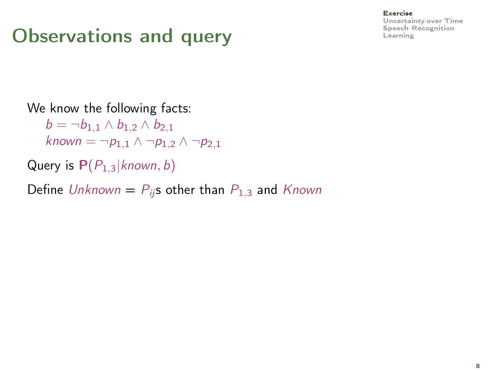# $\sum_{\text{observations}}$  Observations and query  $\sum_{\text{Learning}}$  $\sum_{\text{Learning}}$  $\sum_{\text{Learning}}$

#### [Exercise](#page-9-0)

[Uncertainty over Time](#page-26-0)

#### We know the following facts:

 $b = \neg b_{1,1} \wedge b_{1,2} \wedge b_{2,1}$ known =  $\neg p_{1,1} \wedge \neg p_{1,2} \wedge \neg p_{2,1}$ 

Query is  $P(P_{1,3}|known, b)$ 

Define Unknown =  $P_{ii}$ s other than  $P_{1,3}$  and Known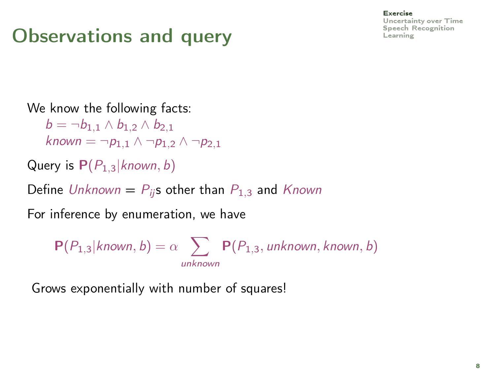# $\sum_{\text{observations}}$  Observations and query  $\sum_{\text{Learning}}$  $\sum_{\text{Learning}}$  $\sum_{\text{Learning}}$

#### [Exercise](#page-9-0)

[Uncertainty over Time](#page-26-0)

#### We know the following facts:

 $b = \neg b_{1,1} \wedge b_{1,2} \wedge b_{2,1}$ known  $= \neg p_{1,1} \wedge \neg p_{1,2} \wedge \neg p_{2,1}$ 

Query is  $P(P_{1,3}|known, b)$ 

Define Unknown =  $P_{ii}$ s other than  $P_{1,3}$  and Known

For inference by enumeration, we have

 $P(P_{1,3}|$ known, b) =  $\alpha$   $\sum$   $P(P_{1,3},$  unknown, known, b) unknown

Grows exponentially with number of squares!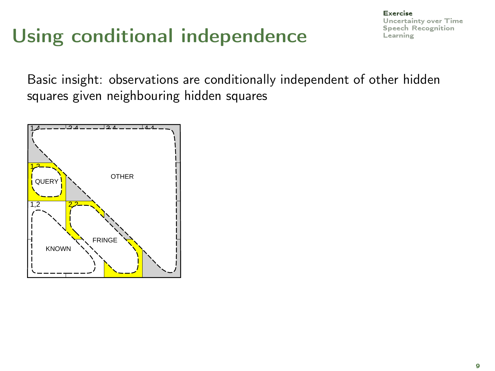# Using conditional independence

[Exercise](#page-9-0) [Uncertainty over Time](#page-26-0)

Basic insight: observations are conditionally independent of other hidden squares given neighbouring hidden squares

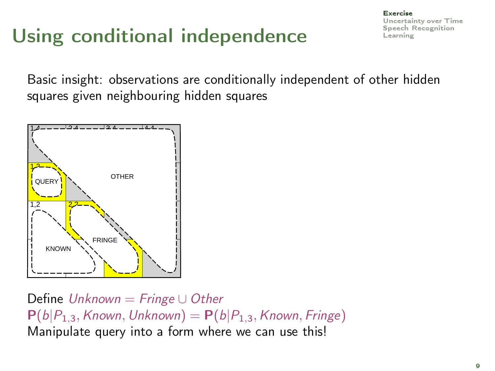# Using conditional independence  $\mathbf{L}_{\text{learning}}$

[Exercise](#page-9-0) [Uncertainty over Time](#page-26-0)

Basic insight: observations are conditionally independent of other hidden squares given neighbouring hidden squares



Define  $Unknown = Fringe \cup Other$  $P(b|P_{1,3},$  Known, Unknown) =  $P(b|P_{1,3},$  Known, Fringe) Manipulate query into a form where we can use this!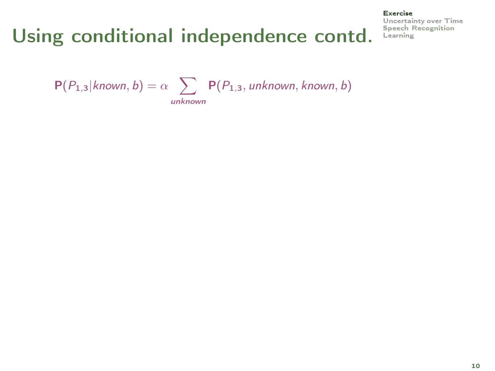[Exercise](#page-9-0) [Uncertainty over Time](#page-26-0)

 $P(P_{1,3}|$ known, b) =  $\alpha$   $\sum$   $P(P_{1,3},$  unknown, known, b) unknown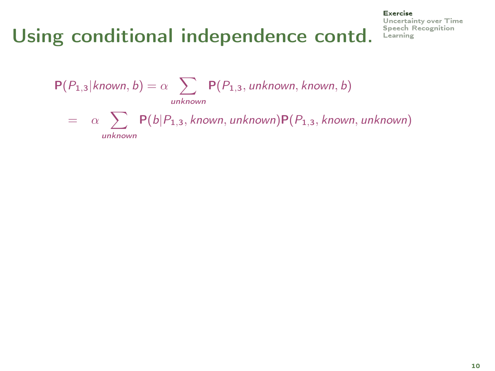#### [Exercise](#page-9-0)

[Uncertainty over Time](#page-26-0)

 $P(P_{1,3}|$ known, b) =  $\alpha$   $\sum$   $P(P_{1,3},$  unknown, known, b) unknown  $= \alpha \sum P(b|P_{1,3}, \textit{known}, \textit{unknown}) P(P_{1,3}, \textit{known}, \textit{unknown})$ unknown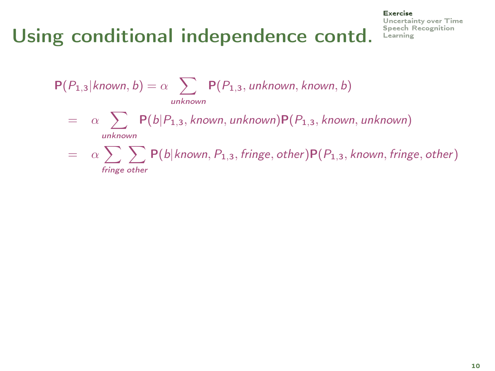fringe other

#### [Exercise](#page-9-0)

[Uncertainty over Time](#page-26-0)

 $P(P_{1,3}|$ known, b) =  $\alpha$   $\sum$   $P(P_{1,3},$  unknown, known, b) unknown  $= \alpha \sum P(b|P_{1,3}, \textit{known}, \textit{unknown}) P(P_{1,3}, \textit{known}, \textit{unknown})$ unknown  $\begin{array}{lll} = & \alpha \sum \sum \mathsf{P}(b|known,P_{1,3},fringe,other)\mathsf{P}(P_{1,3},known,fringe,other) \end{array}$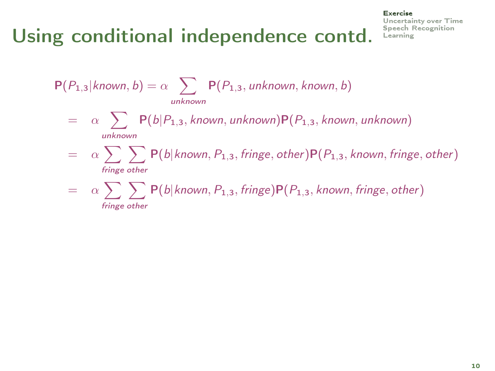#### [Exercise](#page-9-0)

[Uncertainty over Time](#page-26-0)

 $P(P_{1,3}|$ known, b) =  $\alpha$   $\sum$   $P(P_{1,3},$  unknown, known, b) unknown  $= \alpha \sum P(b|P_{1,3}, \textit{known}, \textit{unknown}) P(P_{1,3}, \textit{known}, \textit{unknown})$ unknown  $\begin{array}{lll} = & \alpha \sum \sum \mathsf{P}(b|known,P_{1,3},fringe,other)\mathsf{P}(P_{1,3},known,fringe,other) \end{array}$ fringe other  $=$  a  $\sum \sum P(b|known, P_{1,3}, fringe) P(P_{1,3}, known, fringe, other)$ fringe other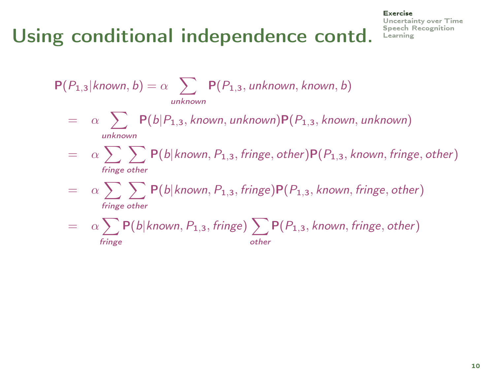# Using conditional independence contd. Speech F

#### [Exercise](#page-9-0)

[Uncertainty over Time](#page-26-0)

$$
P(P_{1,3}|known, b) = \alpha \sum_{unknown} P(P_{1,3}, unknown, known, b)
$$
  
=  $\alpha \sum_{unknown} P(b|P_{1,3}, known, unknown)P(P_{1,3}, known, unknown)$   
=  $\alpha \sum_{fringe\ other} \sum_{frame\ other} P(b|known, P_{1,3}, fringe, other)P(P_{1,3}, known, fringe, other)$   
=  $\alpha \sum_{fringe\ other} \sum_{fringe\ other} P(b|known, P_{1,3}, fringe)P(P_{1,3}, known, fringe, other)$   
=  $\alpha \sum_{fringe} P(b|known, P_{1,3}, fringe) \sum_{other} P(P_{1,3}, known, fringe, other)$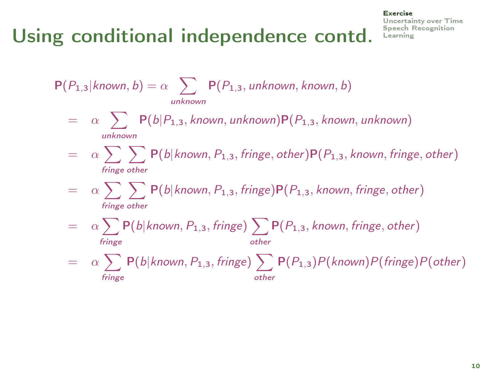#### [Exercise](#page-9-0)

[Uncertainty over Time](#page-26-0)

 $P(P_{1,3}|$ known, b) =  $\alpha$   $\sum$   $P(P_{1,3},$  unknown, known, b) unknown  $= \alpha \sum P(b|P_{1,3}, \textit{known}, \textit{unknown}) P(P_{1,3}, \textit{known}, \textit{unknown})$ unknown  $\begin{array}{lll} = & \alpha \sum \sum \mathsf{P}(b|known,P_{1,3},fringe,other)\mathsf{P}(P_{1,3},known,fringe,other) \end{array}$ fringe other  $=$  a  $\sum \sum P(b|known, P_{1,3}, fringe) P(P_{1,3}, known, fringe, other)$ fringe other  $=$  a  $\sum P(b|$ known,  $P_{1,3},$  fringe)  $\sum P(P_{1,3},$  known, fringe, other) fringe other  $=$  a  $\sum P(b|$ known,  $P_{1,3},$  fringe)  $\sum P(P_{1,3})P($ known) $P(fringe)P(other)$ fringe other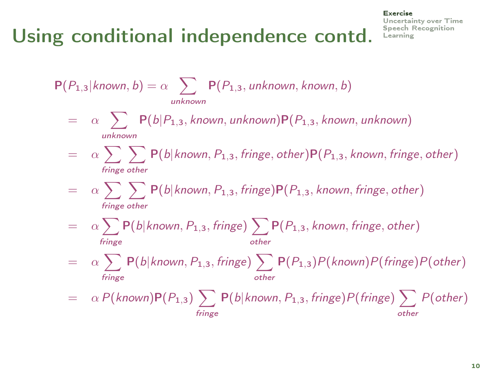#### [Exercise](#page-9-0)

[Uncertainty over Time](#page-26-0)

 $P(P_{1,3}|$ known, b) =  $\alpha$   $\sum$   $P(P_{1,3},$  unknown, known, b) unknown  $= \alpha \sum P(b|P_{1,3}, \textit{known}, \textit{unknown}) P(P_{1,3}, \textit{known}, \textit{unknown})$ unknown  $\begin{array}{lll} = & \alpha \sum \sum \mathsf{P}(b|known,P_{1,3},fringe,other)\mathsf{P}(P_{1,3},known,fringe,other) \end{array}$ fringe other  $=$  a  $\sum \sum P(b|known, P_{1,3}, fringe) P(P_{1,3}, known, fringe, other)$ fringe other  $=$  a  $\sum P(b|$ known,  $P_{1,3},$  fringe)  $\sum P(P_{1,3},$  known, fringe, other) fringe other  $=$  a  $\sum P(b|$ known,  $P_{1,3},$  fringe)  $\sum P(P_{1,3})P($ known) $P(fringe)P(other)$ fringe other  $=$   $\alpha \, P(\text{\emph{known}}) \mathsf{P}(P_{1,3}) \, \sum \, \mathsf{P}(\text{\emph{b}}|\text{\emph{known}},P_{1,3},\text{\emph{fringe}}) \mathsf{P}(\text{\emph{fringe}}) \, \sum \, P(\text{\emph{other}})$ fringe other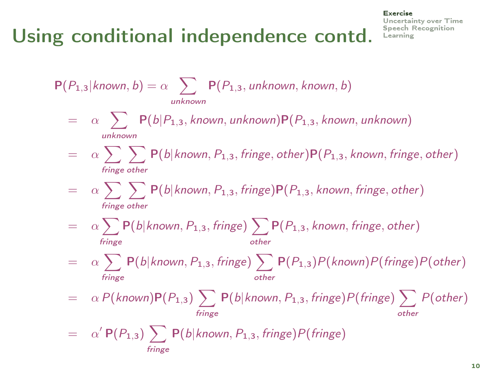#### [Exercise](#page-9-0) [Uncertainty over Time](#page-26-0)

 $P(P_{1,3}|$ known, b) =  $\alpha$   $\sum$   $P(P_{1,3},$  unknown, known, b) unknown  $= \alpha \sum P(b|P_{1,3}, \textit{known}, \textit{unknown}) P(P_{1,3}, \textit{known}, \textit{unknown})$ unknown  $\begin{array}{lll} = & \alpha \sum \sum \mathsf{P}(b|known,P_{1,3},fringe,other)\mathsf{P}(P_{1,3},known,fringe,other) \end{array}$ fringe other  $=$  a  $\sum \sum P(b|known, P_{1,3}, fringe) P(P_{1,3}, known, fringe, other)$ fringe other  $=$  a  $\sum P(b|$ known,  $P_{1,3},$  fringe)  $\sum P(P_{1,3},$  known, fringe, other) fringe other  $=$  a  $\sum P(b|$ known,  $P_{1,3},$  fringe)  $\sum P(P_{1,3})P($ known) $P(fringe)P(other)$ fringe other  $=$   $\alpha \, P(\text{\emph{known}}) \mathsf{P}(P_{1,3}) \, \sum \, \mathsf{P}(\text{\emph{b}}|\text{\emph{known}},P_{1,3},\text{\emph{fringe}}) \mathsf{P}(\text{\emph{fringe}}) \, \sum \, P(\text{\emph{other}})$ fringe other  $= \alpha' P(P_{1,3}) \sum P(b|known, P_{1,3}, fringe) P(fringe)$ fringe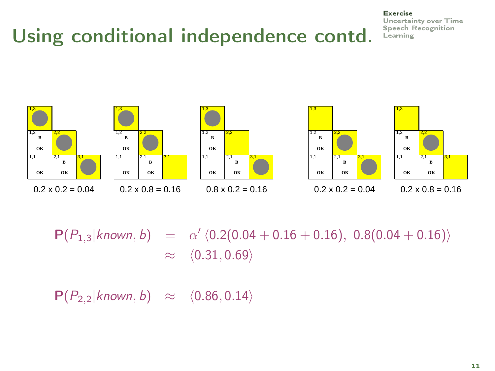#### [Exercise](#page-9-0) [Uncertainty over Time](#page-26-0)





#### $0.2 \times 0.2 = 0.04$   $0.2 \times 0.8 = 0.16$   $0.8 \times 0.2 = 0.16$







 $P(P_{1,3}|known, b) = \alpha' \langle 0.2(0.04 + 0.16 + 0.16), 0.8(0.04 + 0.16) \rangle$  $\approx \langle 0.31, 0.69 \rangle$ 

 $P(P_{2,2}|known, b) \approx \langle 0.86, 0.14 \rangle$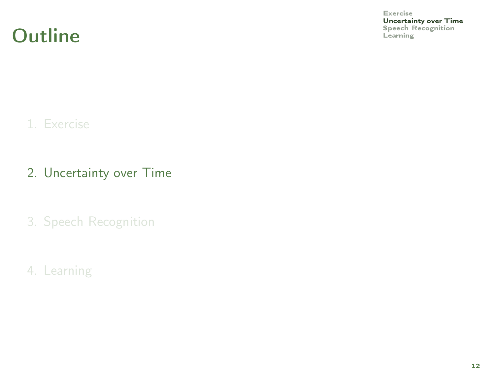**Outline** [Speech Recognition](#page-66-0) Contract Recognition Contract Recognition Contract Recognition Contract Recognition

[Exercise](#page-9-0)

<span id="page-26-0"></span>**[Uncertainty over Time](#page-26-0)**<br>Speech Recognition

#### 1. [Exercise](#page-9-0)

- 2. [Uncertainty over Time](#page-26-0)
- 3. [Speech Recognition](#page-66-0)
- 4. [Learning](#page-78-0)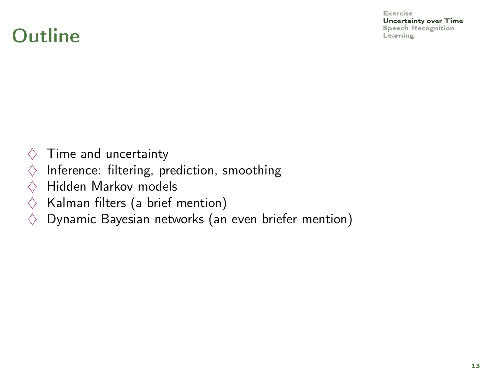[Exercise](#page-9-0)

[Uncertainty over Time](#page-26-0)

### $\Omega$ utline [Learning](#page-78-0)  $\Omega$

- $\diamondsuit$  Time and uncertainty
- $\diamondsuit$  Inference: filtering, prediction, smoothing
- $\Diamond$  Hidden Markov models
- $\Diamond$  Kalman filters (a brief mention)
- $\diamondsuit$  Dynamic Bayesian networks (an even briefer mention)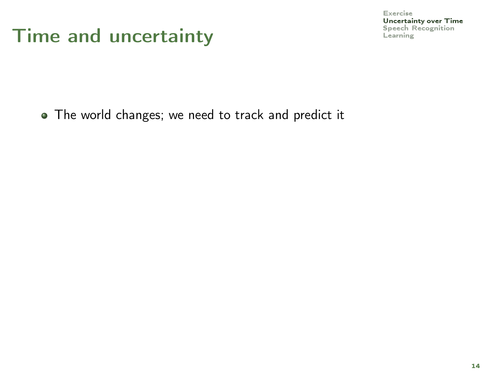#### Time and uncertainty **Exercise [Speech Recognition](#page-66-0)**

[Exercise](#page-9-0) [Uncertainty over Time](#page-26-0)

• The world changes; we need to track and predict it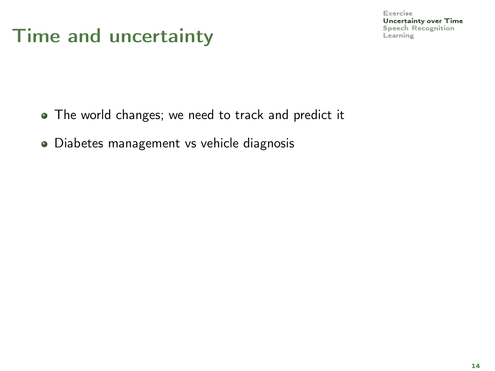- The world changes; we need to track and predict it
- Diabetes management vs vehicle diagnosis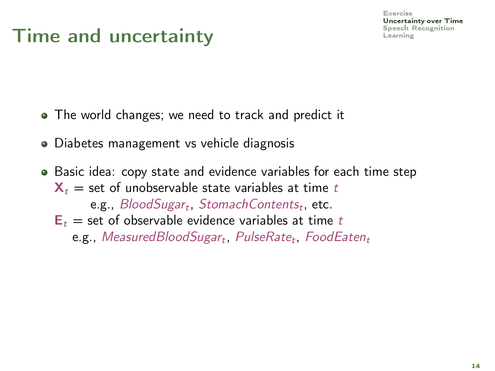- The world changes; we need to track and predict it
- Diabetes management vs vehicle diagnosis
- Basic idea: copy state and evidence variables for each time step  $X_t$  = set of unobservable state variables at time t e.g.,  $\mathcal{B}$ lood $\mathcal{S}$ ugar $_t$ , Stomach $\mathcal{C}$ ontent $s_t$ , etc.  $E_t$  = set of observable evidence variables at time t  $\mathsf{e.g.},\,Measured BloodSugar_t,\,PulseRate_t,\,FoodEaten_t$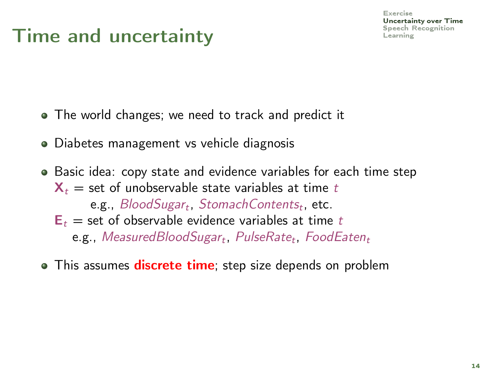- The world changes; we need to track and predict it
- Diabetes management vs vehicle diagnosis
- Basic idea: copy state and evidence variables for each time step  $X_t$  = set of unobservable state variables at time t e.g.,  $\mathcal{B}$ lood $\mathcal{S}$ ugar $_t$ , Stomach $\mathcal{C}$ ontent $s_t$ , etc.  $E_t$  = set of observable evidence variables at time t  $\mathsf{e.g.},\,Measured BloodSugar_t,\,PulseRate_t,\,FoodEaten_t$
- This assumes **discrete time**; step size depends on problem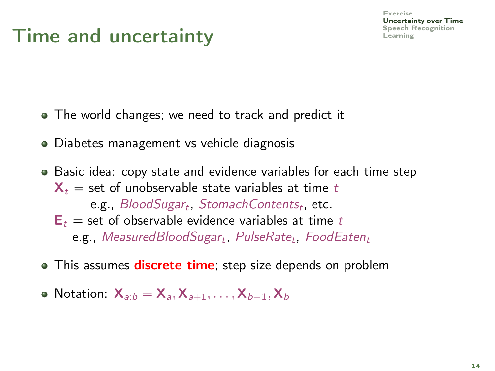- The world changes; we need to track and predict it
- Diabetes management vs vehicle diagnosis
- Basic idea: copy state and evidence variables for each time step  $X_t$  = set of unobservable state variables at time t e.g.,  $\mathcal{B}$ lood $\mathcal{S}$ ugar $_t$ , Stomach $\mathcal{C}$ ontent $s_t$ , etc.  $E_t$  = set of observable evidence variables at time t  $\mathsf{e.g.},\,Measured BloodSugar_t,\,PulseRate_t,\,FoodEaten_t$
- This assumes **discrete time**; step size depends on problem
- Notation:  $X_{a:b} = X_{a}$ ,  $X_{a+1}$ , ...,  $X_{b-1}$ ,  $X_b$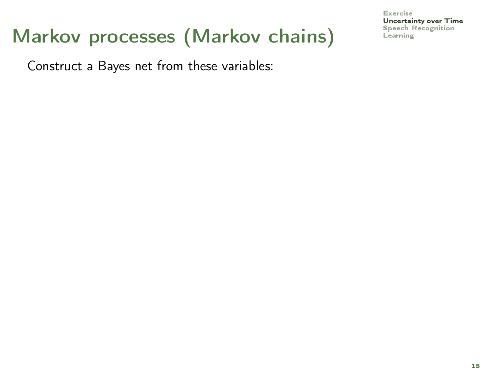# Markov processes (Markov chains)

Construct a Bayes net from these variables: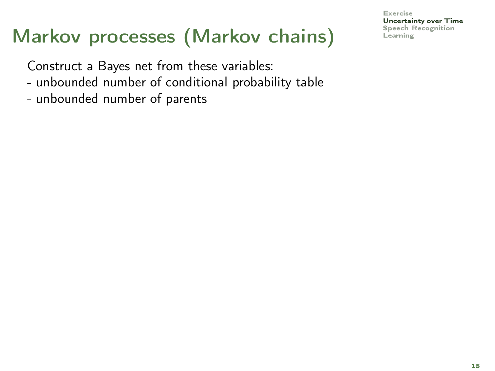# Markov processes (Markov chains)

Construct a Bayes net from these variables:

- unbounded number of conditional probability table
- unbounded number of parents

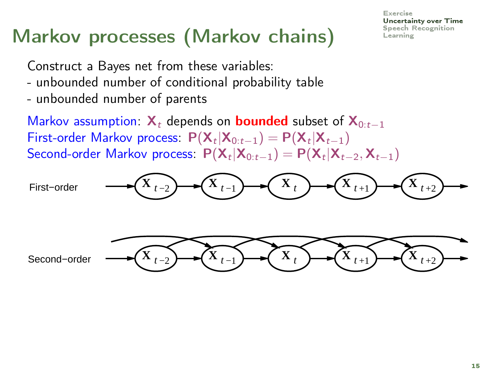#### [Exercise](#page-9-0) [Uncertainty over Time](#page-26-0)

# Markov processes (Markov chains) [Learning](#page-78-0)

Construct a Bayes net from these variables:

- unbounded number of conditional probability table
- unbounded number of parents

Markov assumption:  $X_t$  depends on **bounded** subset of  $X_{0:t-1}$ First-order Markov process:  $P(X_t|X_{0:t-1}) = P(X_t|X_{t-1})$ Second-order Markov process:  $P(\mathsf{X}_t|\mathsf{X}_{0:t-1}) = P(\mathsf{X}_t|\mathsf{X}_{t-2},\mathsf{X}_{t-1})$ 

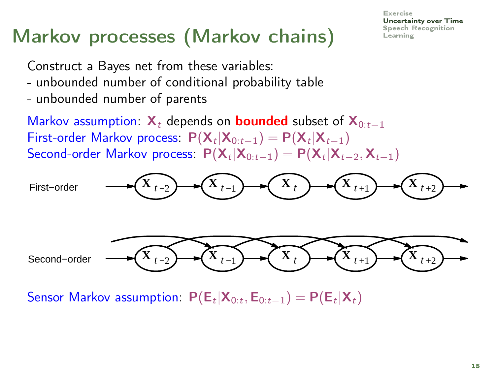# Markov processes (Markov chains)

Construct a Bayes net from these variables:

- unbounded number of conditional probability table
- unbounded number of parents

Markov assumption:  $X_t$  depends on **bounded** subset of  $X_{0:t-1}$ First-order Markov process:  $P(X_t|X_{0:t-1}) = P(X_t|X_{t-1})$ Second-order Markov process:  $P(\mathsf{X}_t|\mathsf{X}_{0:t-1}) = P(\mathsf{X}_t|\mathsf{X}_{t-2},\mathsf{X}_{t-1})$ 



Sensor Markov assumption:  $P(\mathsf{E}_t|\mathsf{X}_{0:t}, \mathsf{E}_{0:t-1}) = P(\mathsf{E}_t|\mathsf{X}_t)$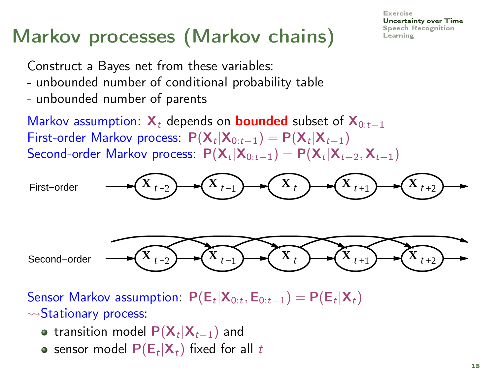# Markov processes (Markov chains)

Construct a Bayes net from these variables:

- unbounded number of conditional probability table
- unbounded number of parents

Markov assumption:  $X_t$  depends on **bounded** subset of  $X_{0:t-1}$ First-order Markov process:  $P(X_t|X_{0:t-1}) = P(X_t|X_{t-1})$ Second-order Markov process:  $P(\mathsf{X}_t|\mathsf{X}_{0:t-1}) = P(\mathsf{X}_t|\mathsf{X}_{t-2},\mathsf{X}_{t-1})$ 



Sensor Markov assumption:  $P(\mathsf{E}_t|\mathsf{X}_{0:t}, \mathsf{E}_{0:t-1}) = P(\mathsf{E}_t|\mathsf{X}_t)$  $\rightsquigarrow$ Stationary process:

- transition model  $\mathsf{P}(\mathsf{X}_t|\mathsf{X}_{t-1})$  and
- sensor model  $\mathsf{P}(\mathsf{E}_t|\mathsf{X}_t)$  fixed for all  $t$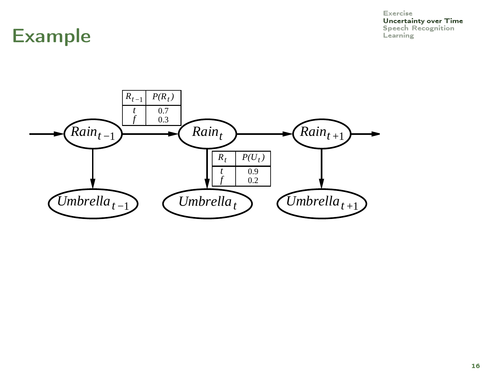**[Uncertainty over Time](#page-26-0)**<br>Speech Recognition

#### Example **Example**

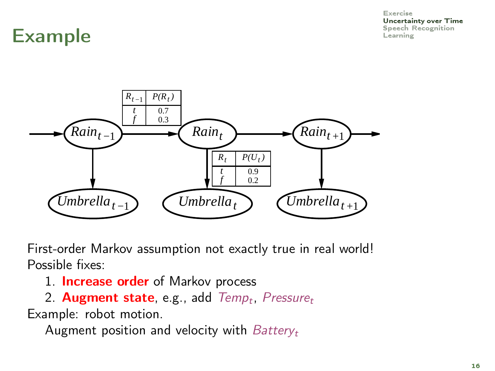[Uncertainty over Time](#page-26-0)

### Example Example



First-order Markov assumption not exactly true in real world! Possible fixes:

- 1. **Increase order** of Markov process
- 2. Augment state, e.g., add Temp<sub>t</sub>, Pressure<sub>t</sub> Example: robot motion.

Augment position and velocity with  $Battery_t$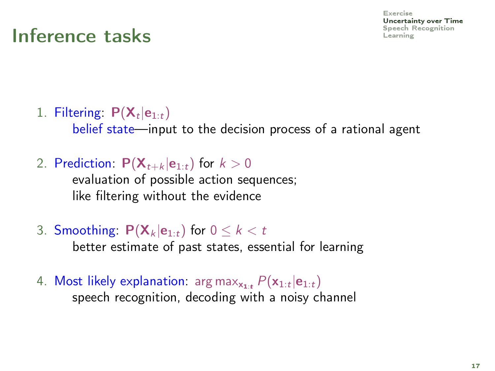[Exercise](#page-9-0) [Uncertainty over Time](#page-26-0) [Speech Recognition](#page-66-0)

## Inference tasks

1. Filtering:  $P(X_t|e_{1:t})$ 

belief state—input to the decision process of a rational agent

2. Prediction:  $P(X_{t+k} | e_{1:t})$  for  $k > 0$ 

evaluation of possible action sequences; like filtering without the evidence

3. Smoothing:  $P(X_k | e_{1:t})$  for  $0 \le k < t$ 

better estimate of past states, essential for learning

4. Most likely explanation:  $\arg\max_{\mathbf{x_{1:t}}} P(\mathbf{x}_{1:t}|\mathbf{e}_{1:t})$ speech recognition, decoding with a noisy channel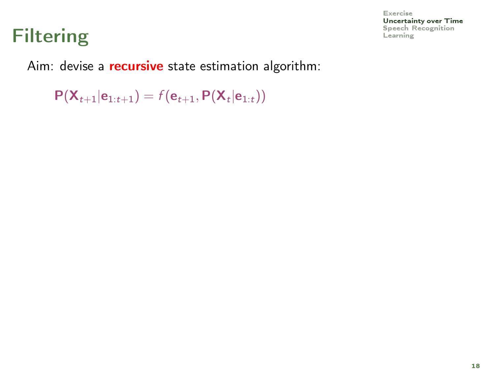## Filtering **Exercise Records**

[Exercise](#page-9-0) [Uncertainty over Time](#page-26-0)

Aim: devise a **recursive** state estimation algorithm:

 $P(\mathsf{X}_{t+1}|\mathsf{e}_{1:t+1}) = f(\mathsf{e}_{t+1}, P(\mathsf{X}_{t}|\mathsf{e}_{1:t}))$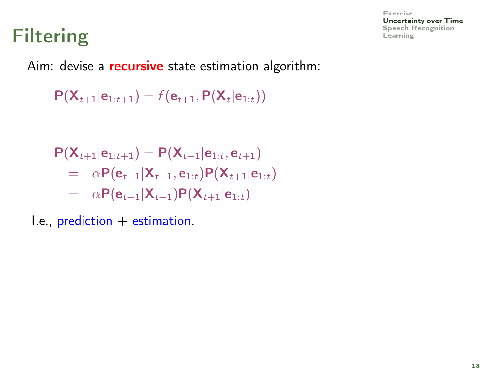## Filtering **Exercise Records**

Aim: devise a **recursive** state estimation algorithm:

 $P(\mathsf{X}_{t+1}|\mathsf{e}_{1:t+1}) = f(\mathsf{e}_{t+1}, P(\mathsf{X}_{t}|\mathsf{e}_{1:t}))$ 

$$
P(\mathbf{X}_{t+1}|\mathbf{e}_{1:t+1}) = P(\mathbf{X}_{t+1}|\mathbf{e}_{1:t}, \mathbf{e}_{t+1})
$$
  
=  $\alpha P(\mathbf{e}_{t+1}|\mathbf{X}_{t+1}, \mathbf{e}_{1:t})P(\mathbf{X}_{t+1}|\mathbf{e}_{1:t})$   
=  $\alpha P(\mathbf{e}_{t+1}|\mathbf{X}_{t+1})P(\mathbf{X}_{t+1}|\mathbf{e}_{1:t})$ 

 $I.e., prediction + estimation.$ 

[Exercise](#page-9-0) [Uncertainty over Time](#page-26-0)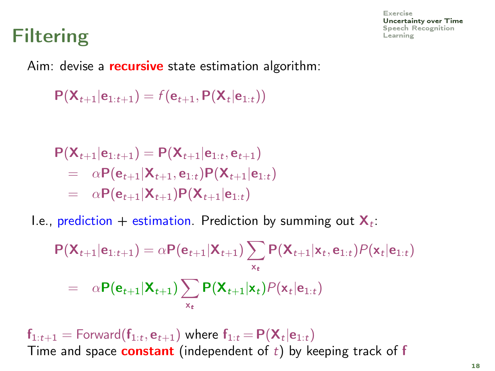## Filtering Expects Filtering [Learning](#page-78-0)

[Exercise](#page-9-0) [Uncertainty over Time](#page-26-0)

Aim: devise a **recursive** state estimation algorithm:

 $P(\mathsf{X}_{t+1}|\mathsf{e}_{1:t+1}) = f(\mathsf{e}_{t+1}, P(\mathsf{X}_{t}|\mathsf{e}_{1:t}))$ 

$$
P(X_{t+1}|e_{1:t+1}) = P(X_{t+1}|e_{1:t}, e_{t+1})
$$
  
=  $\alpha P(e_{t+1}|X_{t+1}, e_{1:t}) P(X_{t+1}|e_{1:t})$   
=  $\alpha P(e_{t+1}|X_{t+1}) P(X_{t+1}|e_{1:t})$ 

I.e., prediction + estimation. Prediction by summing out  $\mathbf{X}_t$ :

$$
P(\mathbf{X}_{t+1}|\mathbf{e}_{1:t+1}) = \alpha P(\mathbf{e}_{t+1}|\mathbf{X}_{t+1}) \sum_{\mathbf{x}_t} P(\mathbf{X}_{t+1}|\mathbf{x}_t, \mathbf{e}_{1:t}) P(\mathbf{x}_t|\mathbf{e}_{1:t})
$$
  
=  $\alpha P(\mathbf{e}_{t+1}|\mathbf{X}_{t+1}) \sum_{\mathbf{x}_t} P(\mathbf{X}_{t+1}|\mathbf{x}_t) P(\mathbf{x}_t|\mathbf{e}_{1:t})$ 

 $\mathsf{f}_{1:t+1} = \mathsf{Forward}(\mathsf{f}_{1:t}, \mathsf{e}_{t+1})$  where  $\mathsf{f}_{1:t} \!=\! \mathsf{P}(\mathsf{X}_t | \mathsf{e}_{1:t})$ Time and space **constant** (independent of  $t$ ) by keeping track of  $f$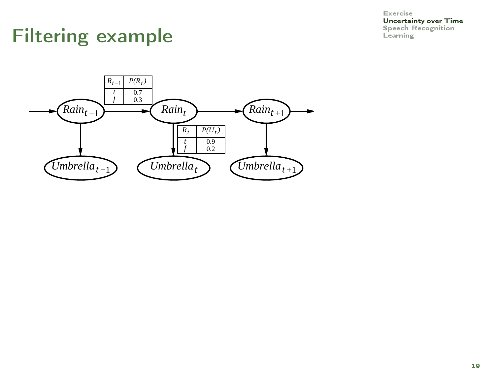**[Uncertainty over Time](#page-26-0)**<br>Speech Recognition

## Filtering example Elements and [Speech Recognition](#page-66-0)

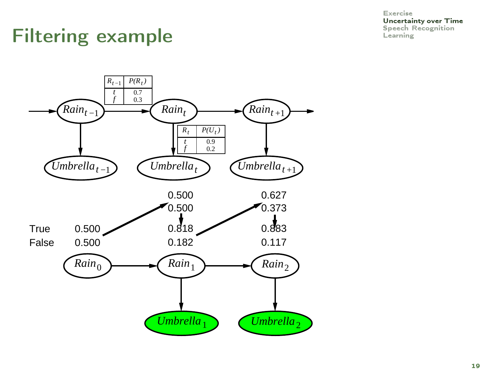[Uncertainty over Time](#page-26-0)

# Filtering example Example

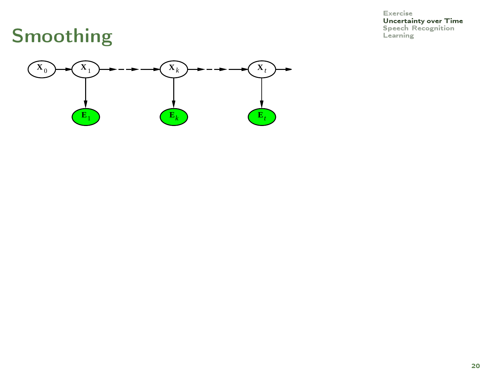[Uncertainty over Time](#page-26-0)<br>Speech Recognition<br>Learning

## Smoothing

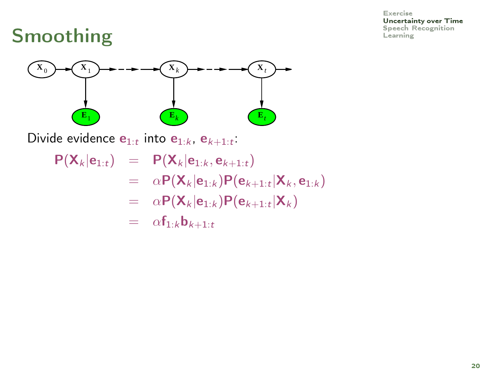[Uncertainty over Time](#page-26-0)

# Smoothing  $\sum_{\text{Learning}}$  $\sum_{\text{Learning}}$  $\sum_{\text{Learning}}$



Divide evidence  $\mathbf{e}_{1:t}$  into  $\mathbf{e}_{1:k}$ ,  $\mathbf{e}_{k+1:t}$ .

- $P(X_k | e_{1:t}) = P(X_k | e_{1:k}, e_{k+1:t})$ 
	- $=\quad \alpha\mathsf{P}(\mathsf{X}_k|\mathsf{e}_{1:k})\mathsf{P}(\mathsf{e}_{k+1:t}|\mathsf{X}_k,\mathsf{e}_{1:k})$
	- $= \alpha \mathsf{P}(\mathsf{X}_k | \mathsf{e}_{1:k}) \mathsf{P}(\mathsf{e}_{k+1:t} | \mathsf{X}_k)$
	- $= \alpha f_{1:k} b_{k+1:t}$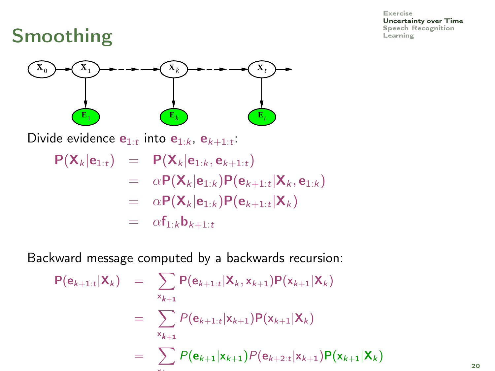[Uncertainty over Time](#page-26-0)

## Smoothing  $\sum_{\text{Learning}}$  $\sum_{\text{Learning}}$  $\sum_{\text{Learning}}$



Divide evidence  $\mathbf{e}_{1:t}$  into  $\mathbf{e}_{1:k}$ ,  $\mathbf{e}_{k+1:t}$ .

$$
P(\mathbf{X}_k|\mathbf{e}_{1:t}) = P(\mathbf{X}_k|\mathbf{e}_{1:k}, \mathbf{e}_{k+1:t})
$$
  
\n
$$
= \alpha P(\mathbf{X}_k|\mathbf{e}_{1:k})P(\mathbf{e}_{k+1:t}|\mathbf{X}_k, \mathbf{e}_{1:k})
$$
  
\n
$$
= \alpha P(\mathbf{X}_k|\mathbf{e}_{1:k})P(\mathbf{e}_{k+1:t}|\mathbf{X}_k)
$$
  
\n
$$
= \alpha f_{1:k}\mathbf{b}_{k+1:t}
$$

Backward message computed by a backwards recursion:

$$
P(e_{k+1:t} | X_k) = \sum_{x_{k+1}} P(e_{k+1:t} | X_k, x_{k+1}) P(x_{k+1} | X_k)
$$
  

$$
= \sum_{x_{k+1}} P(e_{k+1:t} | x_{k+1}) P(x_{k+1} | X_k)
$$
  

$$
= \sum_{x_{k+1}} P(e_{k+1} | x_{k+1}) P(e_{k+2:t} | x_{k+1}) P(x_{k+1} | X_k)
$$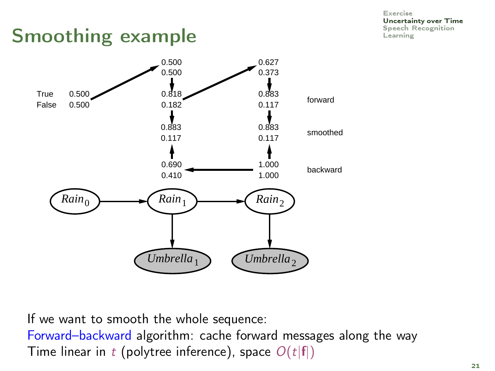[Uncertainty over Time](#page-26-0)

### Smoothing example Smoothing example



If we want to smooth the whole sequence: Forward–backward algorithm: cache forward messages along the way

Time linear in t (polytree inference), space  $O(t|f|)$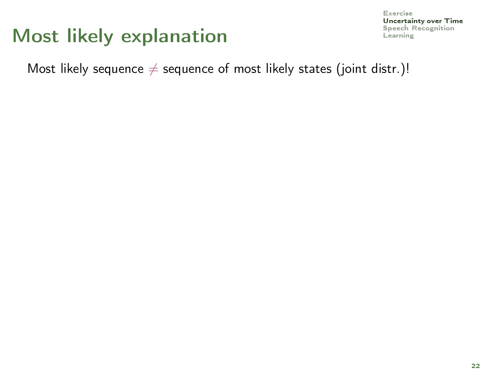### $Most$  likely explanation  $\overline{\phantom{a}}$

Most likely sequence  $\neq$  sequence of most likely states (joint distr.)!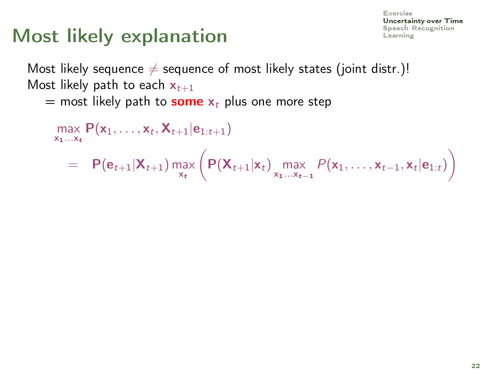### $Most$  likely explanation  $\mathbb{R}$

Most likely sequence  $\neq$  sequence of most likely states (joint distr.)! Most likely path to each  $x_{t+1}$ 

= most likely path to **some**  $x_t$  plus one more step

$$
\max_{\mathbf{x}_1...\mathbf{x}_t} P(\mathbf{x}_1,...,\mathbf{x}_t,\mathbf{X}_{t+1}|\mathbf{e}_{1:t+1})
$$
\n
$$
= P(\mathbf{e}_{t+1}|\mathbf{X}_{t+1}) \max_{\mathbf{x}_t} \left( P(\mathbf{X}_{t+1}|\mathbf{x}_t) \max_{\mathbf{x}_1...\mathbf{x}_{t-1}} P(\mathbf{x}_1,...,\mathbf{x}_{t-1},\mathbf{x}_t|\mathbf{e}_{1:t}) \right)
$$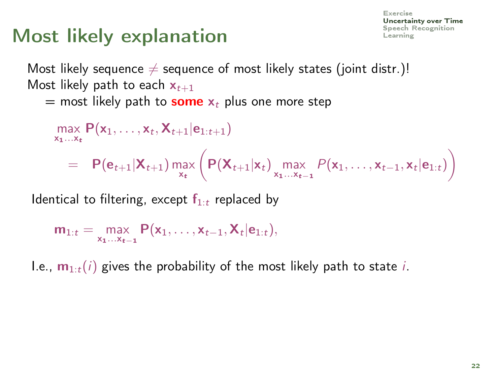### $Most$  likely explanation  $\mathbb{R}$

Most likely sequence  $\neq$  sequence of most likely states (joint distr.)! Most likely path to each  $x_{t+1}$ 

= most likely path to **some**  $x_t$  plus one more step

$$
\max_{x_1...x_t} P(x_1,...,x_t, X_{t+1}|e_{1:t+1})
$$
\n
$$
= P(e_{t+1}|X_{t+1}) \max_{x_t} \left( P(X_{t+1}|x_t) \max_{x_1...x_{t-1}} P(x_1,...,x_{t-1},x_t|e_{1:t}) \right)
$$

Identical to filtering, except  $f_{1:t}$  replaced by

$$
m_{1:t} = \max_{x_1...x_{t-1}} P(x_1,...,x_{t-1},X_t|e_{1:t}),
$$

I.e.,  $\mathbf{m}_{1:t}(i)$  gives the probability of the most likely path to state i.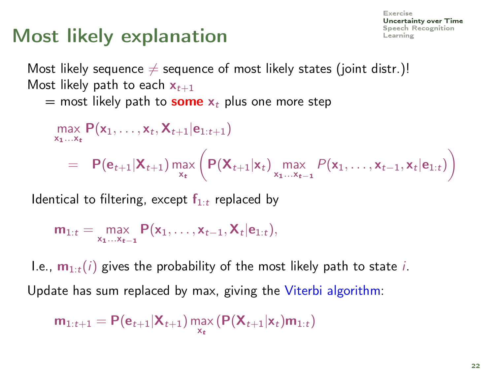### $Most$  likely explanation  $\mathbb{R}$

Most likely sequence  $\neq$  sequence of most likely states (joint distr.)! Most likely path to each  $x_{t+1}$ 

= most likely path to **some**  $x_t$  plus one more step

$$
\max_{x_1...x_t} P(x_1,...,x_t, X_{t+1}|e_{1:t+1})
$$
\n
$$
= P(e_{t+1}|X_{t+1}) \max_{x_t} \left( P(X_{t+1}|x_t) \max_{x_1...x_{t-1}} P(x_1,...,x_{t-1},x_t|e_{1:t}) \right)
$$

Identical to filtering, except  $f_{1:t}$  replaced by

$$
m_{1:t} = \max_{x_1...x_{t-1}} P(x_1,...,x_{t-1},X_t|e_{1:t}),
$$

I.e.,  $\mathbf{m}_{1:t}(i)$  gives the probability of the most likely path to state i. Update has sum replaced by max, giving the Viterbi algorithm:

$$
\mathbf{m}_{1:t+1} = \mathbf{P}(\mathbf{e}_{t+1}|\mathbf{X}_{t+1}) \max_{\mathbf{x}_t} (\mathbf{P}(\mathbf{X}_{t+1}|\mathbf{x}_t)\mathbf{m}_{1:t})
$$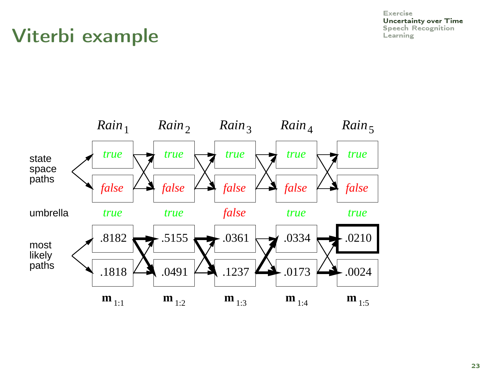[Uncertainty over Time](#page-26-0)

## Viterbi example

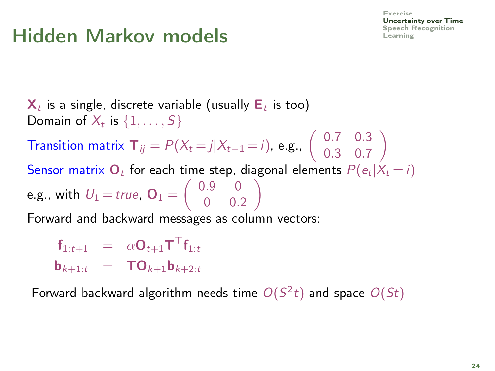## Hidden Markov models

 $\mathbf{X}_t$  is a single, discrete variable (usually  $\mathsf{E}_t$  is too) Domain of  $X_t$  is  $\{1,\ldots,S\}$ Transition matrix  $\mathbf{T}_{ij} = P(X_t = j | X_{t-1} = i)$ , e.g.,  $\begin{pmatrix} 0.7 & 0.3 \\ 0.3 & 0.7 \end{pmatrix}$ 0.3 0.7  $\setminus$ Sensor matrix  $\mathbf{O}_t$  for each time step, diagonal elements  $P(e_t|X_t = i)$ e.g., with  $U_1$   $=$  true,  $\mathbf{O}_1 = \left( \begin{array}{cc} 0.9 & 0 \ 0.9 & 0 \end{array} \right)$ 0 0.2  $\setminus$ Forward and backward messages as column vectors:

 $\begin{array}{rcl} \mathsf{f}_{1:t+1} & = & \alpha \mathsf{O}_{t+1} \mathsf{T}^\top \mathsf{f}_{1:t} \end{array}$  $b_{k+1:t} = TO_{k+1}b_{k+2:t}$ 

Forward-backward algorithm needs time  $O(S^2 t)$  and space  $O(St)$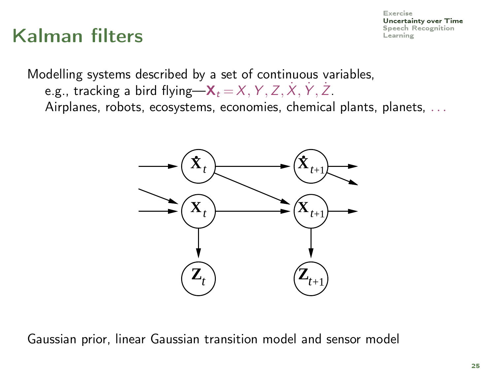### $K$ alman filters  $\sum_{\text{Learning}}$  $\sum_{\text{Learning}}$  $\sum_{\text{Learning}}$

Modelling systems described by a set of continuous variables, e.g., tracking a bird flying— $\mathsf{X}_t\!=\!\mathsf{X},\mathsf{Y},\mathsf{Z},\mathsf{X},\mathsf{Y},\mathsf{Z}.$ Airplanes, robots, ecosystems, economies, chemical plants, planets, ...



Gaussian prior, linear Gaussian transition model and sensor model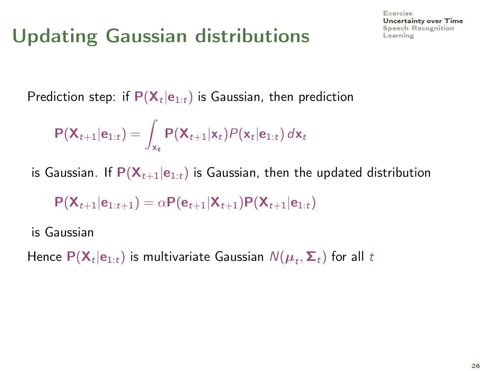# Updating Gaussian distributions

[Exercise](#page-9-0) [Uncertainty over Time](#page-26-0)

Prediction step: if  $\mathsf{P}(\mathsf{X}_t | \mathsf{e}_{1:t})$  is Gaussian, then prediction

$$
\mathsf{P}(\mathsf{X}_{t+1}|\mathbf{e}_{1:t}) = \int_{\mathsf{x}_t} \mathsf{P}(\mathsf{X}_{t+1}|\mathsf{x}_t) \mathsf{P}(\mathsf{x}_t|\mathbf{e}_{1:t}) d\mathsf{x}_t
$$

is Gaussian. If  $P(X_{t+1}|e_{1:t})$  is Gaussian, then the updated distribution

$$
\mathsf{P}(\mathsf{X}_{t+1}|\mathsf{e}_{1:t+1}) = \alpha \mathsf{P}(\mathsf{e}_{t+1}|\mathsf{X}_{t+1}) \mathsf{P}(\mathsf{X}_{t+1}|\mathsf{e}_{1:t})
$$

is Gaussian

Hence  $\mathsf{P}(\mathsf{X}_t|\mathsf{e}_{1:t})$  is multivariate Gaussian  $\mathsf{N}(\boldsymbol{\mu}_t,\boldsymbol{\Sigma}_t)$  for all  $t$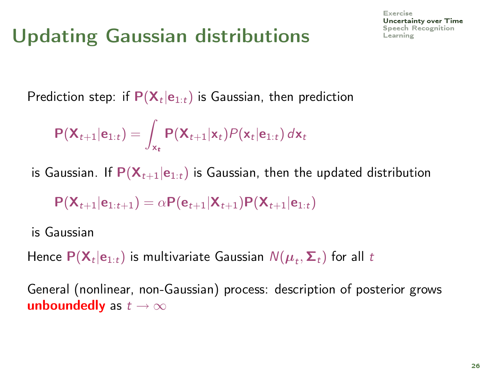# Updating Gaussian distributions  $\mathbf{S}_{\text{beam}}$

[Exercise](#page-9-0) [Uncertainty over Time](#page-26-0)

Prediction step: if  $\mathsf{P}(\mathsf{X}_t | \mathsf{e}_{1:t})$  is Gaussian, then prediction

$$
\mathsf{P}(\mathsf{X}_{t+1}|\mathbf{e}_{1:t}) = \int_{\mathsf{x}_t} \mathsf{P}(\mathsf{X}_{t+1}|\mathsf{x}_t) \mathsf{P}(\mathsf{x}_t|\mathbf{e}_{1:t}) d\mathsf{x}_t
$$

is Gaussian. If  $P(X_{t+1}|e_{1:t})$  is Gaussian, then the updated distribution

$$
\mathsf{P}(\mathsf{X}_{t+1}|\mathsf{e}_{1:t+1}) = \alpha \mathsf{P}(\mathsf{e}_{t+1}|\mathsf{X}_{t+1}) \mathsf{P}(\mathsf{X}_{t+1}|\mathsf{e}_{1:t})
$$

is Gaussian

Hence  $\mathsf{P}(\mathsf{X}_t|\mathsf{e}_{1:t})$  is multivariate Gaussian  $\mathsf{N}(\boldsymbol{\mu}_t,\boldsymbol{\Sigma}_t)$  for all  $t$ 

General (nonlinear, non-Gaussian) process: description of posterior grows unboundedly as  $t \to \infty$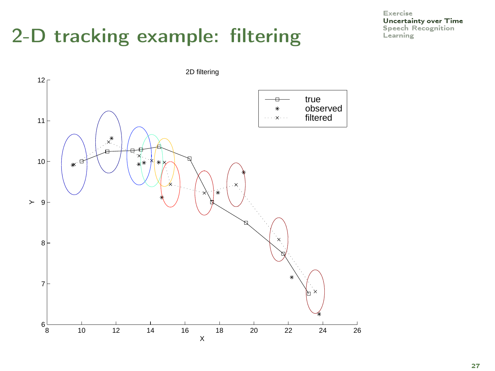# 2-D tracking example: filtering  $\sum_{\text{Spectral}}$

[Exercise](#page-9-0) **[Uncertainty over Time](#page-26-0)**<br>Speech Recognition

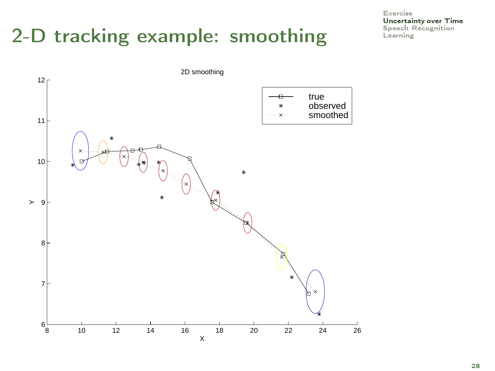# 2-D tracking example: smoothing  $\sum_{\text{Spectral}}$

[Exercise](#page-9-0) [Uncertainty over Time](#page-26-0)

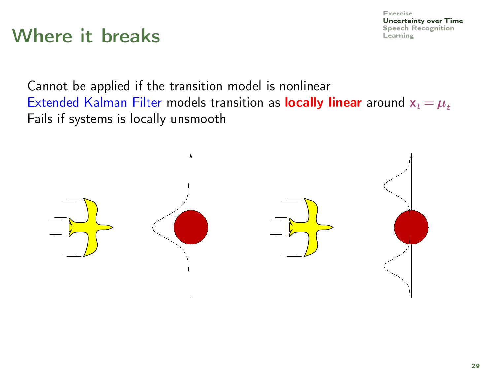## Where it breaks  $\sum_{\text{Spectral F}}$

Cannot be applied if the transition model is nonlinear Extended Kalman Filter models transition as locally linear around  $x_t = \mu_t$ Fails if systems is locally unsmooth

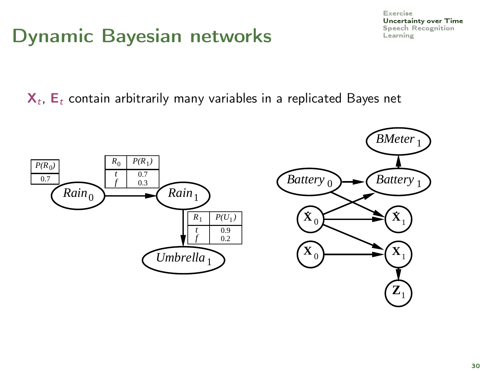### Dynamic Bayesian networks

#### [Exercise](#page-9-0) [Uncertainty over Time](#page-26-0)

 $\mathsf{X}_t$ ,  $\mathsf{E}_t$  contain arbitrarily many variables in a replicated Bayes net

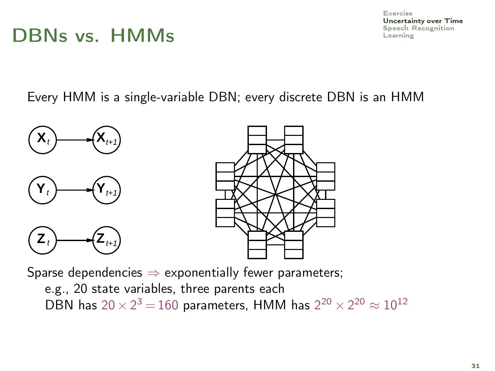#### $DBNs$  vs.  $HMMs$  examing  $L_{\text{learning}}$

[Exercise](#page-9-0) [Uncertainty over Time](#page-26-0)

Every HMM is a single-variable DBN; every discrete DBN is an HMM





Sparse dependencies  $\Rightarrow$  exponentially fewer parameters; e.g., 20 state variables, three parents each DBN has  $20 \times 2^3 = 160$  parameters, HMM has  $2^{20} \times 2^{20} \approx 10^{12}$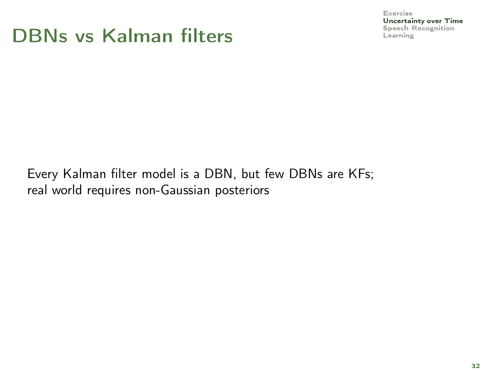#### $DBNs$  vs Kalman filters  $\sum_{\text{Learning}}$  $\sum_{\text{Learning}}$  $\sum_{\text{Learning}}$

[Exercise](#page-9-0)

[Uncertainty over Time](#page-26-0)

Every Kalman filter model is a DBN, but few DBNs are KFs; real world requires non-Gaussian posteriors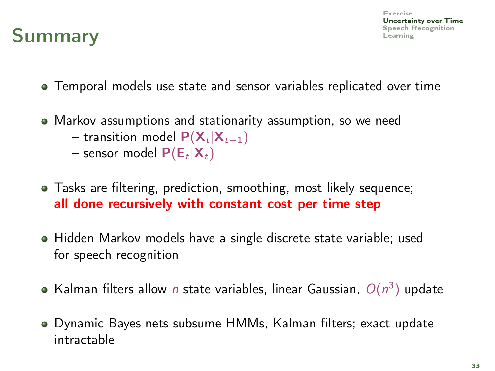

- Temporal models use state and sensor variables replicated over time
- Markov assumptions and stationarity assumption, so we need  $-$  transition model  ${\sf P}({\sf X}_t|{\sf X}_{t-1})$ 
	- sensor model  $\mathsf{P}(\mathsf{E}_t | \mathsf{X}_t)$
- Tasks are filtering, prediction, smoothing, most likely sequence; all done recursively with constant cost per time step
- Hidden Markov models have a single discrete state variable; used for speech recognition
- Kalman filters allow n state variables, linear Gaussian,  $O(n^3)$  update
- Dynamic Bayes nets subsume HMMs, Kalman filters; exact update intractable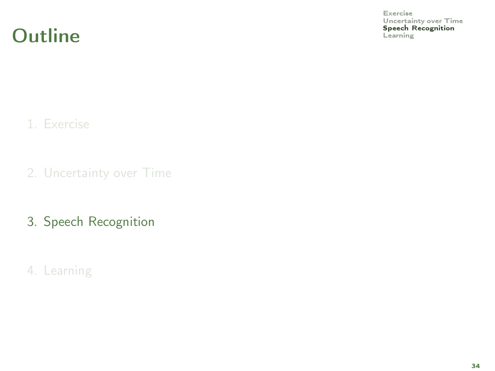Outline Speech Recording

<span id="page-66-0"></span>[Exercise](#page-9-0) [Uncertainty over Time](#page-26-0)<br>Speech Recognition

1. [Exercise](#page-9-0)

2. [Uncertainty over Time](#page-26-0)

3. [Speech Recognition](#page-66-0)

4. [Learning](#page-78-0)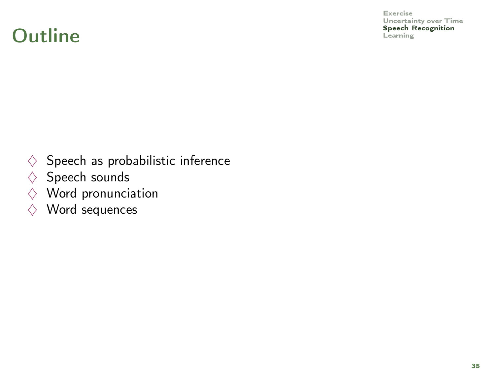#### Outline Speech Recording

[Exercise](#page-9-0) [Uncertainty over Time](#page-26-0)<br>Speech Recognition

- $\diamondsuit$  Speech as probabilistic inference
- $\diamondsuit$  Speech sounds
- $\Diamond$  Word pronunciation
- $\diamondsuit$  Word sequences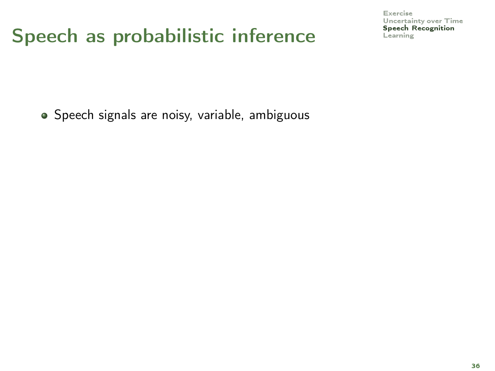## Speech as probabilistic inference Speech F [Learning](#page-78-0)

[Exercise](#page-9-0) [Uncertainty over Time](#page-26-0)<br>Speech Recognition

Speech signals are noisy, variable, ambiguous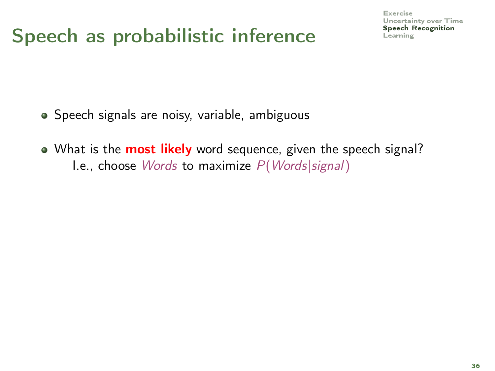## Speech as probabilistic inference  $\sum_{\text{learning}}$

[Exercise](#page-9-0) [Uncertainty over Time](#page-26-0)<br>Speech Recognition

- Speech signals are noisy, variable, ambiguous
- What is the **most likely** word sequence, given the speech signal? I.e., choose Words to maximize  $P(Words|signal)$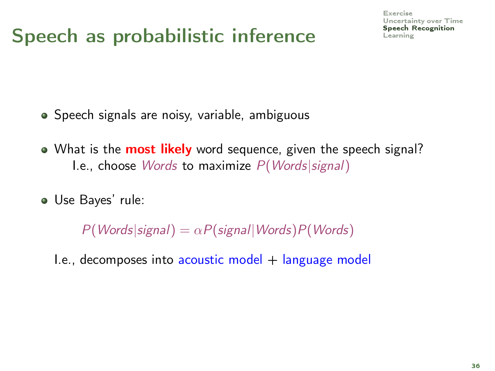## Speech as probabilistic inference  $\sum_{\text{Learning}}$  $\sum_{\text{Learning}}$  $\sum_{\text{Learning}}$

[Exercise](#page-9-0) [Uncertainty over Time](#page-26-0)<br>**Speech Recognition** 

- Speech signals are noisy, variable, ambiguous
- What is the **most likely** word sequence, given the speech signal? I.e., choose Words to maximize P(Words|signal)
- Use Bayes' rule:

 $P(Words|signal) = \alpha P(signal|Words)P(Words)$ 

 $I.e., decomposes into acoustic model + language model$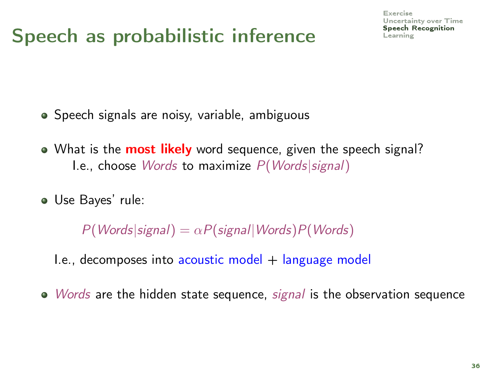## Speech as probabilistic inference  $\sum_{\text{learning}}$

[Exercise](#page-9-0) [Uncertainty over Time](#page-26-0)<br>**Speech Recognition** 

- Speech signals are noisy, variable, ambiguous
- What is the **most likely** word sequence, given the speech signal? I.e., choose Words to maximize P(Words|signal)
- Use Bayes' rule:

 $P(Words|signal) = \alpha P(signal|Words)P(Words)$ 

- $I.e.,$  decomposes into acoustic model  $+$  language model
- $\bullet$  *Words* are the hidden state sequence, *signal* is the observation sequence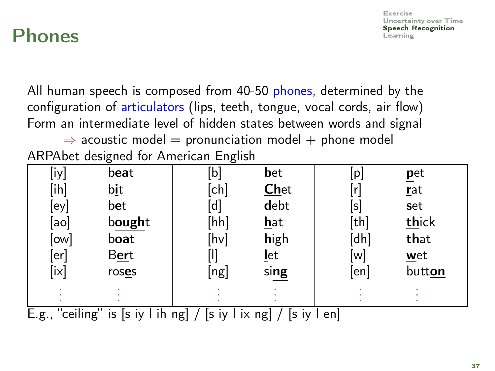#### $\mathsf{Phones}$  speech Recognition

[Exercise](#page-9-0) [Uncertainty over Time](#page-26-0)<br>**Speech Recognition** 

All human speech is composed from 40-50 phones, determined by the configuration of articulators (lips, teeth, tongue, vocal cords, air flow) Form an intermediate level of hidden states between words and signal

 $\Rightarrow$  acoustic model = pronunciation model + phone model ARPAbet designed for American English

| [iy]                      | b <u>ea</u> t                       | [b]                | $bet$       | [p]            | pet    |
|---------------------------|-------------------------------------|--------------------|-------------|----------------|--------|
| [ih]                      | bit                                 | [ch]               | <b>Chet</b> | ۱r             | rat    |
| [ey]                      | bet                                 | $\mathsf{d}$       | debt        | $[\mathsf{s}]$ | set    |
| aol                       | bought                              | [hh]               | <u>hat</u>  | [th]           | thick  |
| ow                        | b <u>oa</u> t                       | [hv]               | high        | [dh]           | that   |
| lerl                      | <b>Bert</b>                         |                    | <u>l</u> et | lwl            | $wet$  |
| [ix]                      | roses                               | [ng]               | sing        | en             | button |
|                           |                                     |                    |             |                |        |
| $\cdots$<br>$\sim$ $\sim$ | . .<br>$\cdot$ $\cdot$ $\cdot$<br>. | .<br>. .<br>$\sim$ | .<br>$\sim$ |                |        |

E.g., "ceiling" is [s iy l ih ng] / [s iy l ix ng] / [s iy l en]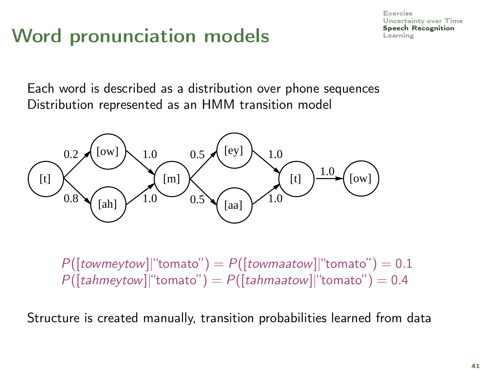## Word pronunciation models  $\mathsf{S}_{\text{S}_\text{learning}}$

[Exercise](#page-9-0) [Uncertainty over Time](#page-26-0)<br>**Speech Recognition** 

Each word is described as a distribution over phone sequences Distribution represented as an HMM transition model



 $P([towneytow]$ "tomato") =  $P([townaatow]$ "tomato") = 0.1  $P([tahmeytow]$ "tomato") =  $P([tahmaatow]$ "tomato") = 0.4

Structure is created manually, transition probabilities learned from data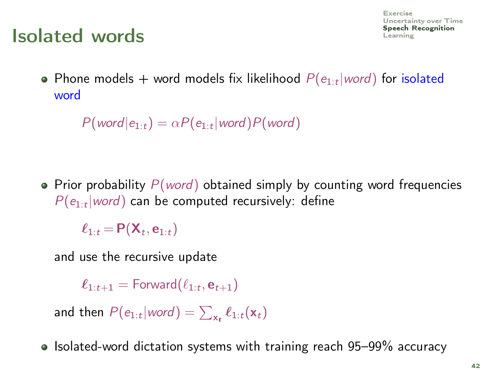#### [Learning](#page-78-0) Isolated words

Phone models  $+$  word models fix likelihood  $P(e_{1:t} | word)$  for isolated word

 $P(\text{word}|e_{1:t}) = \alpha P(e_{1:t}| \text{word}) P(\text{word})$ 

• Prior probability  $P(word)$  obtained simply by counting word frequencies  $P(e_{1:t} | word)$  can be computed recursively: define

 $\ell_{1:t}$  = P( $\mathsf{X}_t$ ,  $\mathsf{e}_{1:t}$ )

and use the recursive update

 $\ell_{1:t+1} = \mathsf{Forward}(\ell_{1:t}, \mathbf{e}_{t+1})$ 

and then  $P(e_{1:t} | word) = \sum_{\mathbf{x_t}} \ell_{1:t}(\mathbf{x}_t)$ 

 $\bullet$  Isolated-word dictation systems with training reach 95–99% accuracy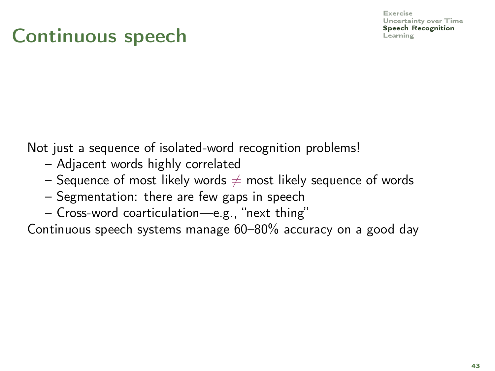## Continuous speech Records and the speech recognition of the speech recognition of the speech r

[Exercise](#page-9-0) [Uncertainty over Time](#page-26-0)<br>**Speech Recognition** 

Not just a sequence of isolated-word recognition problems!

- Adjacent words highly correlated
- Sequence of most likely words  $\neq$  most likely sequence of words
- Segmentation: there are few gaps in speech
- Cross-word coarticulation—e.g., "next thing"

Continuous speech systems manage 60–80% accuracy on a good day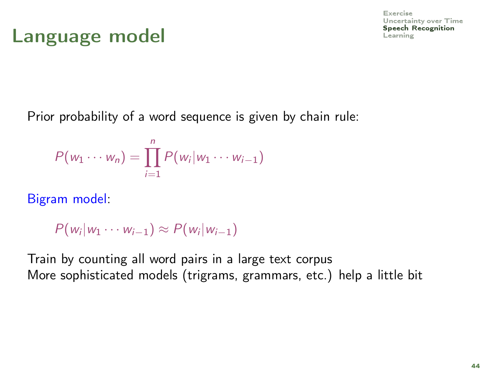#### Language model **Language model**

[Exercise](#page-9-0) [Uncertainty over Time](#page-26-0)<br>Speech Recognition

Prior probability of a word sequence is given by chain rule:

$$
P(w_1\cdots w_n)=\prod_{i=1}^n P(w_i|w_1\cdots w_{i-1})
$$

Bigram model:

$$
P(w_i|w_1\cdots w_{i-1})\approx P(w_i|w_{i-1})
$$

Train by counting all word pairs in a large text corpus More sophisticated models (trigrams, grammars, etc.) help a little bit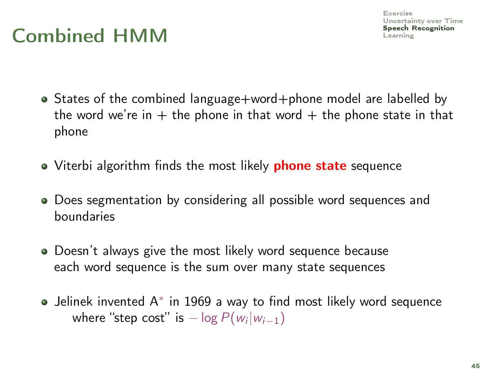## $Combined HMM$  speech  $S_{\text{peech if}}$

- States of the combined language+word+phone model are labelled by the word we're in  $+$  the phone in that word  $+$  the phone state in that phone
- Viterbi algorithm finds the most likely **phone state** sequence
- Does segmentation by considering all possible word sequences and boundaries
- Doesn't always give the most likely word sequence because each word sequence is the sum over many state sequences
- Jelinek invented A<sup>∗</sup> in 1969 a way to find most likely word sequence where "step cost" is  $-\log P(w_i|w_{i-1})$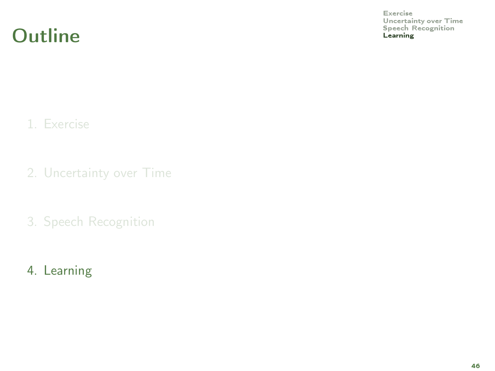Outline **Contract Recognition** Contract Present Recognition Contract Present Recognition Contract Present Recognition

<span id="page-78-0"></span>[Exercise](#page-9-0) [Uncertainty over Time](#page-26-0)<br>Speech Recognition

1. [Exercise](#page-9-0)

2. [Uncertainty over Time](#page-26-0)

3. [Speech Recognition](#page-66-0)

4. [Learning](#page-78-0)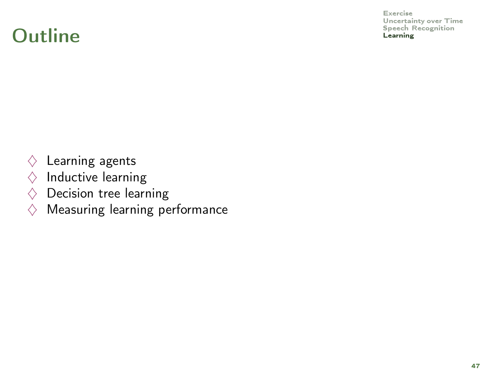#### Outline **Contract Recognition** Contract Present Recognition Contract Present Recognition Contract Present Recognition

[Exercise](#page-9-0) [Uncertainty over Time](#page-26-0)

- $\Diamond$  Learning agents
- $\diamond$  Inductive learning
- $\diamondsuit$  Decision tree learning
- $\diamond$  Measuring learning performance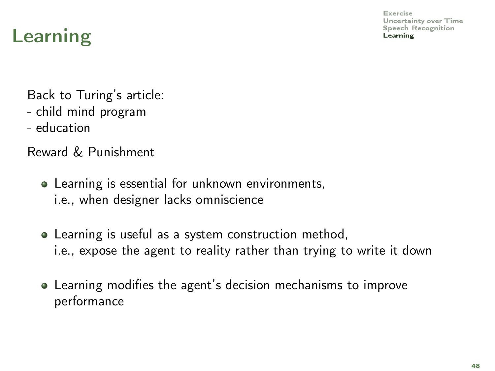## [Learning](#page-78-0) **Learning** the contract of the contract of the contract of the contract of the contract of the contract of the contract of the contract of the contract of the contract of the contract of the contract of the contra

Back to Turing's article:

- child mind program
- education

Reward & Punishment

- Learning is essential for unknown environments, i.e., when designer lacks omniscience
- Learning is useful as a system construction method, i.e., expose the agent to reality rather than trying to write it down
- Learning modifies the agent's decision mechanisms to improve performance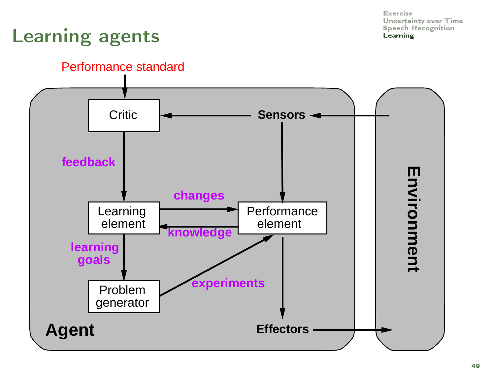## [Learning](#page-78-0) agents Learning Learning

#### Performance standard

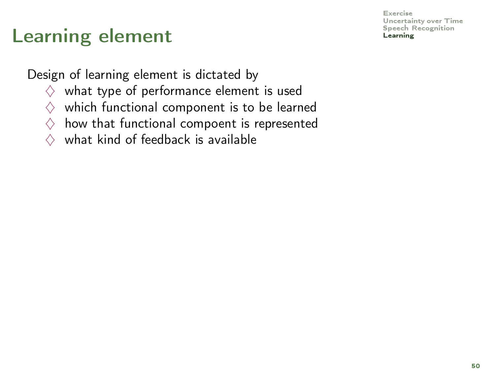#### [Learning](#page-78-0) element **Learning**

[Exercise](#page-9-0) [Uncertainty over Time](#page-26-0)

Design of learning element is dictated by

- $\diamondsuit$  what type of performance element is used
- $\diamondsuit$  which functional component is to be learned
- $\diamondsuit$  how that functional compoent is represented
- $\Diamond$  what kind of feedback is available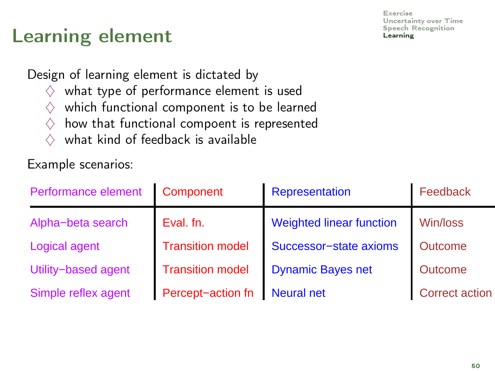# [Learning](#page-78-0) element **Learning**

Design of learning element is dictated by

- $\diamondsuit$  what type of performance element is used
- $\diamondsuit$  which functional component is to be learned
- $\diamondsuit$  how that functional compoent is represented
- $\diamond$  what kind of feedback is available

Example scenarios:

| Performance element | Component               | Representation                  | Feedback              |
|---------------------|-------------------------|---------------------------------|-----------------------|
| Alpha-beta search   | Eval. fn.               | <b>Weighted linear function</b> | Win/loss              |
| Logical agent       | <b>Transition model</b> | Successor-state axioms          | <b>Outcome</b>        |
| Utility-based agent | <b>Transition model</b> | <b>Dynamic Bayes net</b>        | Outcome               |
| Simple reflex agent | Percept-action fn       | <b>Neural net</b>               | <b>Correct action</b> |